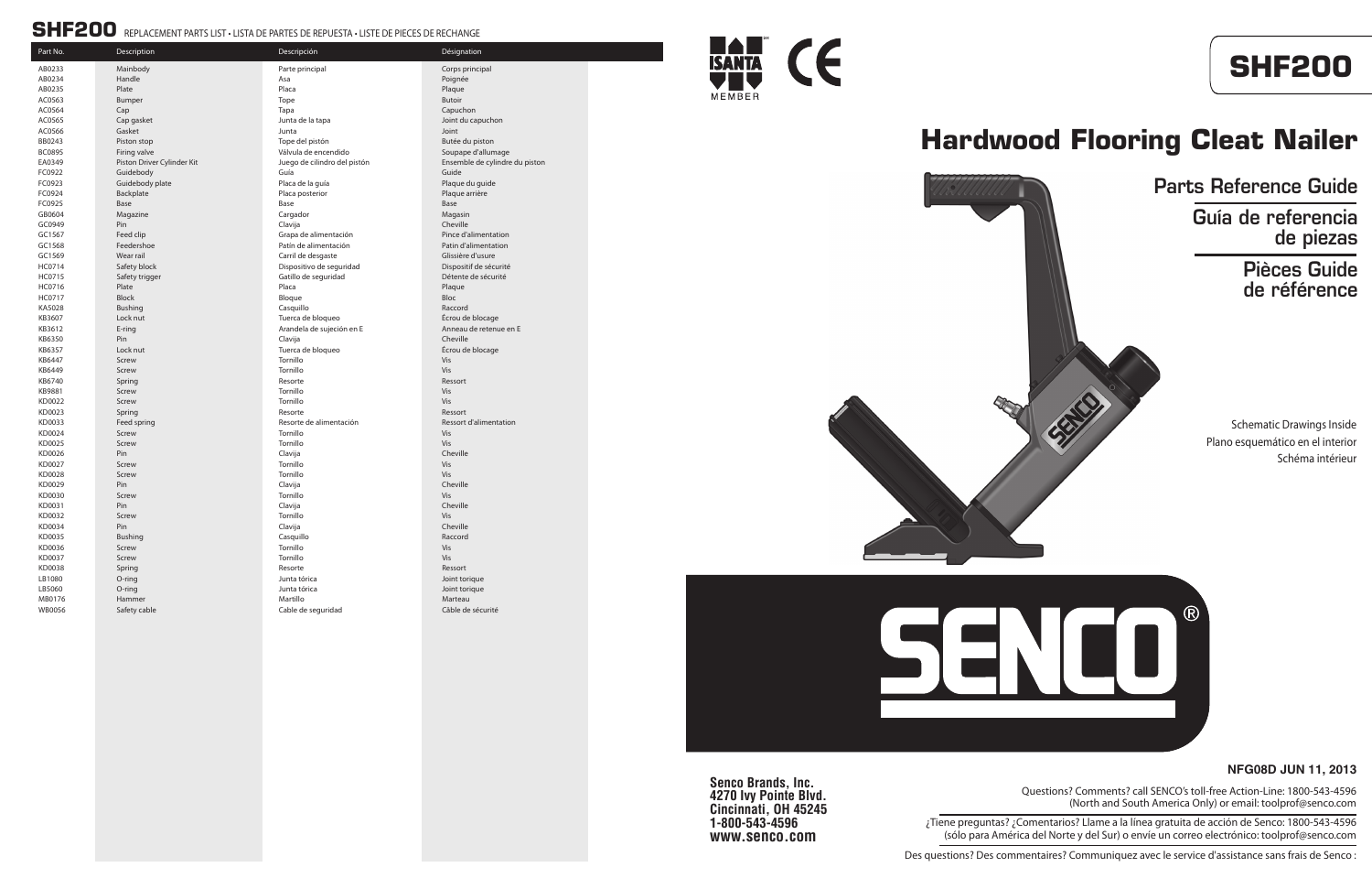**Senco Brands, Inc. 4270 Ivy Pointe Blvd. Cincinnati, OH 45245 1-800-543-4596 www.senco.com**

#### **NFG08D JUN 11, 2013**



# **Hardwood Flooring Cleat Nailer**

Schematic Drawings Inside Plano esquemático en el interior Schéma intérieur

Part No. 2013 - Part No. 2014 - Part No. 2014 - Désignation Parte principal and a set of the Corps principal Corps principal AC0565 Cap gasket Junta de la tapa Joint du capuchon Tope del pistón **Butée du piston** Butée du piston Válvula de encendido de soupape d'allumage Kit Suego de cilindro del pistón **Driver Cylinder Cylindre du piston Driver Cylindre du piston** Ensemble de cylindre du piston Placa de la guía de la guide pour est en la plaque du guide Placa posterior et al. et al. et al. et al. et al. et al. et al. et al. et al. et al. et al. et al. et al. et a Grapa de alimentación en el proporcion en el Pince d'alimentation Patín de alimentación **Ferdershoe Patín d'alimentation**<br>Carril de desgaste **Patín de la patín de la patín de la patín de la patín de la patín de la patín de la patín** Carril de desgaste Dispositivo de seguridad Dispositif de sécurité Gatillo de seguridad de seguridad de sécurité de sécurité Tuerca de bloqueo establece en la construction de blocage Arandela de sujeción en E<br>
Anneau de retenue en E Tuerca de bloqueo establecer en la seconda de blocage Resorte de alimentación **Resorte de alimentación** Ressort d'alimentation LB5060 O-ring Junta tórica Joint torique

Cable de seguridad Cable de sécurité







#### SHF200 REPLACEMENT PARTS LIST • LISTA DE PARTES DE REPUESTA • LISTE DE PIECES DE RECHANGE

| Γαι ι ινυ.       | Description                | Descripcion                  | Designation     |
|------------------|----------------------------|------------------------------|-----------------|
| AB0233           | Mainbody                   | Parte principal              | Corps princip   |
| AB0234           | Handle                     | Asa                          | Poignée         |
| AB0235           | Plate                      | Placa                        | Plaque          |
| AC0563           | Bumper                     | Tope                         | <b>Butoir</b>   |
| AC0564           | Cap                        | Tapa                         | Capuchon        |
| AC0565           | Cap gasket                 | Junta de la tapa             | Joint du capi   |
| AC0566           | Gasket                     | Junta                        | Joint           |
| BB0243           | Piston stop                | Tope del pistón              | Butée du pist   |
| <b>BC0895</b>    | Firing valve               | Válvula de encendido         | Soupape d'al    |
| EA0349           | Piston Driver Cylinder Kit | Juego de cilindro del pistón | Ensemble de     |
| FC0922           | Guidebody                  | Guía                         | Guide           |
| FC0923           | Guidebody plate            | Placa de la guía             | Plaque du gu    |
| FC0924           | Backplate                  | Placa posterior              | Plaque arrièr   |
| FC0925           | Base                       | Base                         | Base            |
| GB0604           | Magazine                   | Cargador                     | Magasin         |
| GC0949           | Pin                        | Clavija                      | Cheville        |
| GC1567           | Feed clip                  | Grapa de alimentación        | Pince d'alime   |
| GC1568           | Feedershoe                 | Patín de alimentación        | Patin d'alime   |
| GC1569           | Wear rail                  | Carril de desgaste           | Glissière d'us  |
| HC0714           | Safety block               | Dispositivo de seguridad     | Dispositif de   |
| HC0715           | Safety trigger             | Gatillo de seguridad         | Détente de s    |
| HC0716           | Plate                      | Placa                        | Plaque          |
| HC0717           | <b>Block</b>               | Bloque                       | Bloc            |
| KA5028           | <b>Bushing</b>             | Casquillo                    | Raccord         |
| KB3607           | Lock nut                   | Tuerca de bloqueo            | Écrou de blo    |
| KB3612           | E-ring                     | Arandela de sujeción en E    | Anneau de re    |
| KB6350           | Pin                        | Clavija                      | Cheville        |
| KB6357           | Lock nut                   | Tuerca de bloqueo            | Écrou de blo    |
| KB6447           | Screw                      | Tornillo                     | Vis             |
| KB6449           | Screw                      | Tornillo                     | Vis             |
| KB6740           | Spring                     | Resorte                      | Ressort         |
| KB9881           | Screw                      | Tornillo                     | Vis             |
| KD0022           | Screw                      | Tornillo                     | Vis             |
| KD0023           | Spring                     | Resorte                      | Ressort         |
| KD0033           | Feed spring                | Resorte de alimentación      | Ressort d'alir  |
| KD0024           | Screw                      | Tornillo                     | Vis             |
| KD0025           | Screw                      | Tornillo                     | Vis             |
| KD0026           | Pin                        | Clavija                      | Cheville        |
| KD0027           | Screw                      | Tornillo                     | Vis             |
| KD0028           | Screw                      | Tornillo                     | Vis             |
| KD0029<br>KD0030 | Pin<br>Screw               | Clavija<br>Tornillo          | Cheville<br>Vis |
| KD0031           | Pin                        | Clavija                      | Cheville        |
| KD0032           | Screw                      | Tornillo                     | <b>Vis</b>      |
| KD0034           | Pin                        | Clavija                      | Cheville        |
| KD0035           | <b>Bushing</b>             | Casquillo                    | Raccord         |
| KD0036           | Screw                      | Tornillo                     | Vis             |
| KD0037           | Screw                      | Tornillo                     | Vis             |
| KD0038           | Spring                     | Resorte                      | Ressort         |
| LB1080           | O-ring                     | Junta tórica                 | Joint torique   |
| LB5060           | O-ring                     | Junta tórica                 | Joint torique   |
| MB0176           | Hammer                     | Martillo                     | Marteau         |
| <b>WB0056</b>    | Safety cable               | Cable de seguridad           | Câble de séc    |
|                  |                            |                              |                 |

Questions? Comments? call SENCO's toll-free Action-Line: 1800-543-4596 (North and South America Only) or email: toolprof@senco.com

¿Tiene preguntas? ¿Comentarios? Llame a la línea gratuita de acción de Senco: 1800-543-4596 (sólo para América del Norte y del Sur) o envíe un correo electrónico: toolprof@senco.com

Des questions? Des commentaires? Communiquez avec le service d'assistance sans frais de Senco :

### Parts Reference Guide Guía de referencia de piezas Pièces Guide de référence